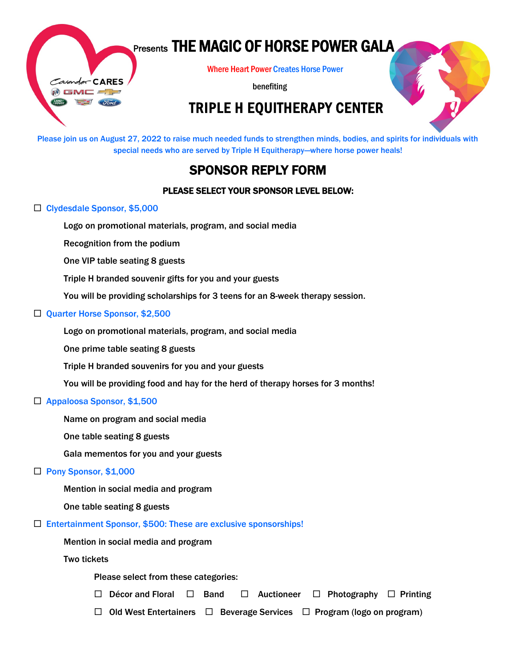

# Presents THE MAGIC OF HORSE POWER GALA

Where Heart Power Creates Horse Power

benefiting

## TRIPLE H EQUITHERAPY CENTER

Please join us on August 27, 2022 to raise much needed funds to strengthen minds, bodies, and spirits for individuals with special needs who are served by Triple H Equitherapy—where horse power heals!

## SPONSOR REPLY FORM

### PLEASE SELECT YOUR SPONSOR LEVEL BELOW:

#### □ Clydesdale Sponsor, \$5,000

Logo on promotional materials, program, and social media

Recognition from the podium

One VIP table seating 8 guests

 $\overline{1}$ Triple H branded souvenir gifts for you and your guests

You will be providing scholarships for 3 teens for an 8-week therapy session.

#### □ Quarter Horse Sponsor, \$2,500

Logo on promotional materials, program, and social media

One prime table seating 8 guests

 Triple H branded souvenirs for you and your guests

You will be providing food and hay for the herd of therapy horses for 3 months!

#### □ Appaloosa Sponsor, \$1,500

Name on program and social media

One table seating 8 guests

Gala mementos for you and your guests

#### □ Pony Sponsor, \$1,000

Mention in social media and program

One table seating 8 guests

 $\square$  Entertainment Sponsor, \$500: These are exclusive sponsorships!

Mention in social media and program

Two tickets

Please select from these categories:

 $\Box$  Décor and Floral  $\Box$  Band  $\Box$  Auctioneer  $\Box$  Photography  $\Box$  Printing

 $\Box$  Old West Entertainers  $\Box$  Beverage Services  $\Box$  Program (logo on program)